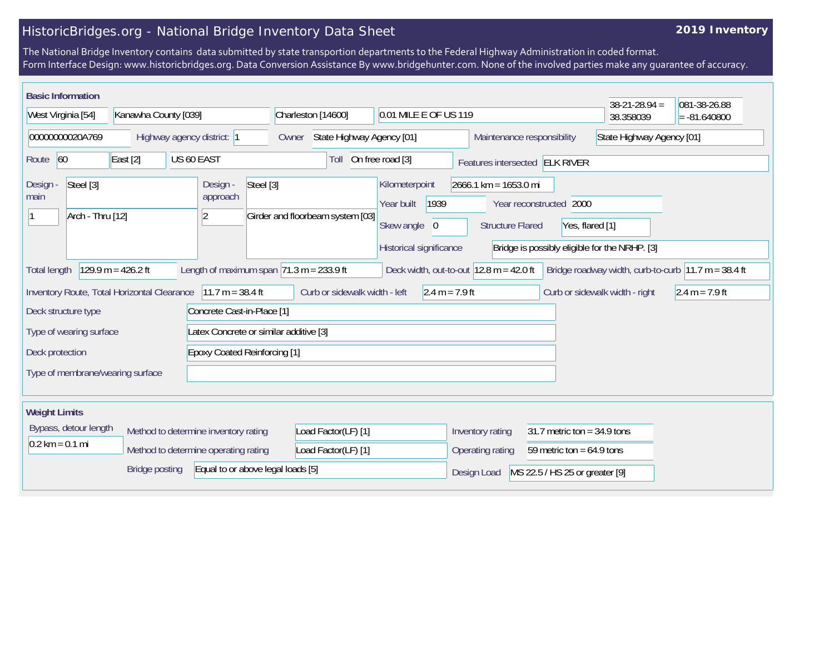## HistoricBridges.org - National Bridge Inventory Data Sheet

## **2019 Inventory**

The National Bridge Inventory contains data submitted by state transportion departments to the Federal Highway Administration in coded format. Form Interface Design: www.historicbridges.org. Data Conversion Assistance By www.bridgehunter.com. None of the involved parties make any guarantee of accuracy.

| <b>Basic Information</b>                    |                       |                                                              |                                    |                                                           |                            |                                               | $38-21-28.94 =$                | 081-38-26.88                                                            |
|---------------------------------------------|-----------------------|--------------------------------------------------------------|------------------------------------|-----------------------------------------------------------|----------------------------|-----------------------------------------------|--------------------------------|-------------------------------------------------------------------------|
| West Virginia [54]                          | Kanawha County [039]  |                                                              | Charleston [14600]                 | 0.01 MILE E OF US 119                                     |                            |                                               | 38.358039                      | $= -81.640800$                                                          |
| 00000000020A769                             |                       | Highway agency district: 1                                   | State Highway Agency [01]<br>Owner |                                                           | Maintenance responsibility |                                               | State Highway Agency [01]      |                                                                         |
| Route 60                                    | East $[2]$            | US 60 EAST                                                   | Toll                               | On free road [3]                                          |                            | Features intersected ELK RIVER                |                                |                                                                         |
| Steel [3]<br>Design -<br>main               |                       | Steel [3]<br>Design -<br>approach                            |                                    | Kilometerpoint                                            | $2666.1$ km = 1653.0 mi    |                                               |                                |                                                                         |
|                                             |                       |                                                              |                                    | 1939<br>Year built                                        |                            | Year reconstructed 2000                       |                                |                                                                         |
| Arch - Thru [12]                            |                       | $\overline{2}$                                               | Girder and floorbeam system [03]   | Skew angle 0                                              | <b>Structure Flared</b>    | Yes, flared [1]                               |                                |                                                                         |
|                                             |                       |                                                              |                                    | Historical significance                                   |                            | Bridge is possibly eligible for the NRHP. [3] |                                |                                                                         |
| <b>Total length</b>                         | $129.9 m = 426.2 ft$  | Length of maximum span $ 71.3 \text{ m} = 233.9 \text{ ft} $ |                                    | Deck width, out-to-out $12.8 \text{ m} = 42.0 \text{ ft}$ |                            |                                               |                                | Bridge roadway width, curb-to-curb $ 11.7 \text{ m} = 38.4 \text{ ft} $ |
| Inventory Route, Total Horizontal Clearance |                       | $11.7 m = 38.4 ft$                                           | Curb or sidewalk width - left      | $2.4 m = 7.9 ft$                                          |                            |                                               | Curb or sidewalk width - right | $2.4 m = 7.9 ft$                                                        |
| Deck structure type                         |                       | Concrete Cast-in-Place [1]                                   |                                    |                                                           |                            |                                               |                                |                                                                         |
| Type of wearing surface                     |                       | Latex Concrete or similar additive [3]                       |                                    |                                                           |                            |                                               |                                |                                                                         |
| Deck protection                             |                       | <b>Epoxy Coated Reinforcing [1]</b>                          |                                    |                                                           |                            |                                               |                                |                                                                         |
| Type of membrane/wearing surface            |                       |                                                              |                                    |                                                           |                            |                                               |                                |                                                                         |
|                                             |                       |                                                              |                                    |                                                           |                            |                                               |                                |                                                                         |
| <b>Weight Limits</b>                        |                       |                                                              |                                    |                                                           |                            |                                               |                                |                                                                         |
| Bypass, detour length                       |                       | Method to determine inventory rating                         | Load Factor(LF) [1]                |                                                           | Inventory rating           | 31.7 metric ton = $34.9$ tons                 |                                |                                                                         |
| $0.2 \text{ km} = 0.1 \text{ mi}$           |                       | Method to determine operating rating                         | Load Factor(LF) [1]                |                                                           | Operating rating           | 59 metric ton = $64.9$ tons                   |                                |                                                                         |
|                                             | <b>Bridge posting</b> | Equal to or above legal loads [5]                            |                                    |                                                           | Design Load                | MS 22.5 / HS 25 or greater [9]                |                                |                                                                         |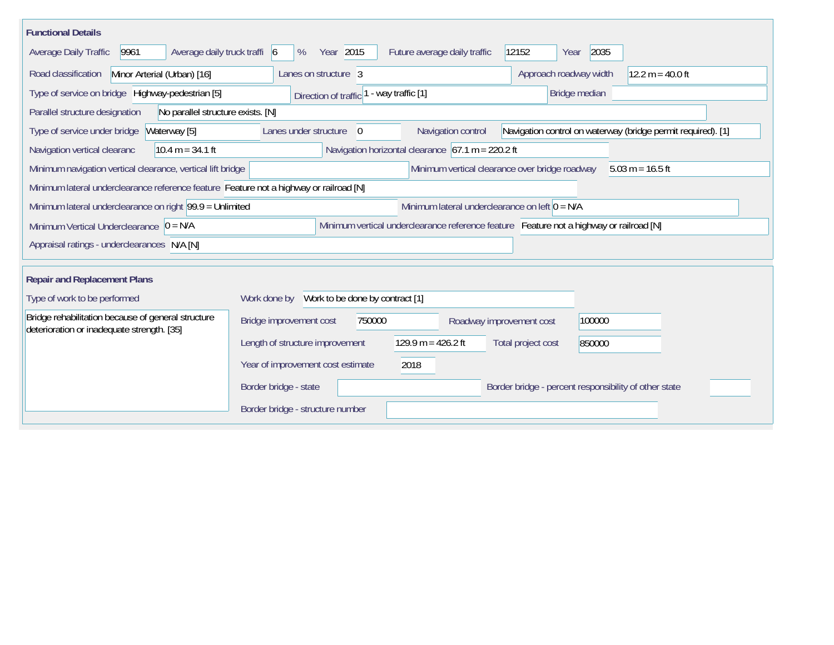| <b>Functional Details</b>                                                                        |                                              |                                                                                         |                                                       |                                                              |
|--------------------------------------------------------------------------------------------------|----------------------------------------------|-----------------------------------------------------------------------------------------|-------------------------------------------------------|--------------------------------------------------------------|
| 9961<br>Average daily truck traffi 6<br>Average Daily Traffic                                    | Year 2015<br>%                               | Future average daily traffic                                                            | 12152<br>2035<br>Year                                 |                                                              |
| Road classification<br>Minor Arterial (Urban) [16]                                               | Lanes on structure 3                         |                                                                                         | Approach roadway width                                | $12.2 m = 40.0 ft$                                           |
| Type of service on bridge Highway-pedestrian [5]                                                 | Direction of traffic                         | - way traffic [1]                                                                       | Bridge median                                         |                                                              |
| Parallel structure designation<br>No parallel structure exists. [N]                              |                                              |                                                                                         |                                                       |                                                              |
| Type of service under bridge<br>Waterway [5]                                                     | Lanes under structure<br>$\Omega$            | Navigation control                                                                      |                                                       | Navigation control on waterway (bridge permit required). [1] |
| Navigation vertical clearanc<br>$10.4 m = 34.1 ft$                                               |                                              | Navigation horizontal clearance $67.1 m = 220.2 ft$                                     |                                                       |                                                              |
| Minimum navigation vertical clearance, vertical lift bridge                                      |                                              | Minimum vertical clearance over bridge roadway                                          |                                                       | $5.03 m = 16.5 ft$                                           |
| Minimum lateral underclearance reference feature Feature not a highway or railroad [N]           |                                              |                                                                                         |                                                       |                                                              |
| Minimum lateral underclearance on right 99.9 = Unlimited                                         |                                              | Minimum lateral underclearance on left $0 = N/A$                                        |                                                       |                                                              |
| Minimum Vertical Underclearance $0 = N/A$                                                        |                                              | Minimum vertical underclearance reference feature Feature not a highway or railroad [N] |                                                       |                                                              |
| Appraisal ratings - underclearances N/A [N]                                                      |                                              |                                                                                         |                                                       |                                                              |
| <b>Repair and Replacement Plans</b>                                                              |                                              |                                                                                         |                                                       |                                                              |
| Type of work to be performed                                                                     | Work done by Work to be done by contract [1] |                                                                                         |                                                       |                                                              |
| Bridge rehabilitation because of general structure<br>deterioration or inadequate strength. [35] | Bridge improvement cost<br>750000            | Roadway improvement cost                                                                | 100000                                                |                                                              |
|                                                                                                  | Length of structure improvement              | $129.9 m = 426.2 ft$                                                                    | Total project cost<br>850000                          |                                                              |
|                                                                                                  | Year of improvement cost estimate            | 2018                                                                                    |                                                       |                                                              |
|                                                                                                  | Border bridge - state                        |                                                                                         | Border bridge - percent responsibility of other state |                                                              |
|                                                                                                  | Border bridge - structure number             |                                                                                         |                                                       |                                                              |